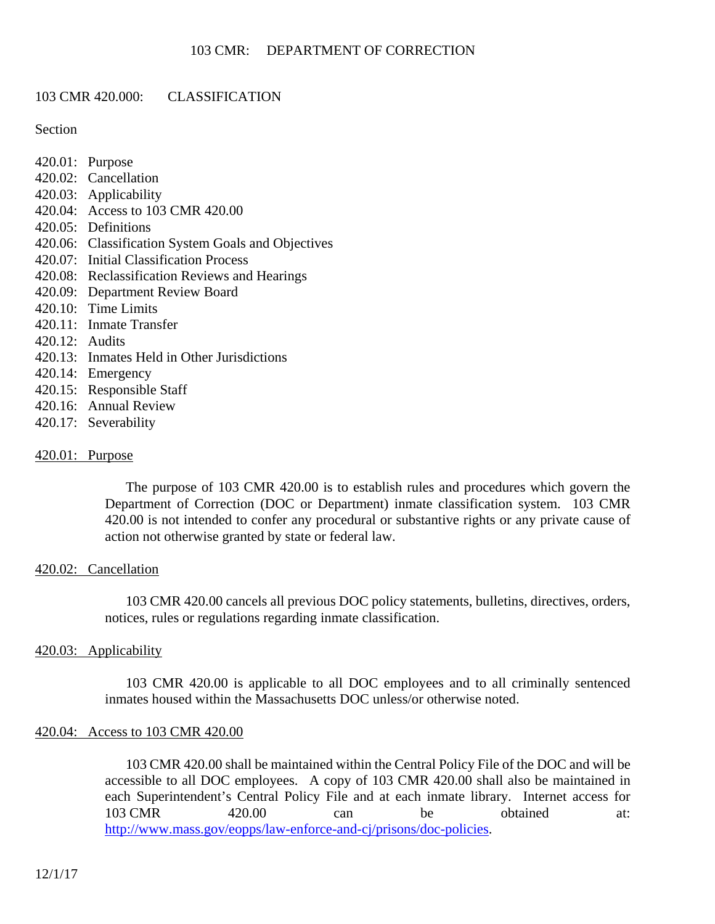### 103 CMR 420.000: CLASSIFICATION

### **Section**

- 420.01: Purpose
- 420.02: Cancellation
- 420.03: Applicability
- 420.04: Access to 103 CMR 420.00
- 420.05: Definitions
- 420.06: Classification System Goals and Objectives
- 420.07: Initial Classification Process
- 420.08: Reclassification Reviews and Hearings
- 420.09: Department Review Board
- 420.10: Time Limits
- 420.11: Inmate Transfer
- 420.12: Audits
- 420.13: Inmates Held in Other Jurisdictions
- 420.14: Emergency
- 420.15: Responsible Staff
- 420.16: Annual Review
- 420.17: Severability

### 420.01: Purpose

The purpose of 103 CMR 420.00 is to establish rules and procedures which govern the Department of Correction (DOC or Department) inmate classification system. 103 CMR 420.00 is not intended to confer any procedural or substantive rights or any private cause of action not otherwise granted by state or federal law.

### 420.02: Cancellation

103 CMR 420.00 cancels all previous DOC policy statements, bulletins, directives, orders, notices, rules or regulations regarding inmate classification.

### 420.03: Applicability

103 CMR 420.00 is applicable to all DOC employees and to all criminally sentenced inmates housed within the Massachusetts DOC unless/or otherwise noted.

### 420.04: Access to 103 CMR 420.00

103 CMR 420.00 shall be maintained within the Central Policy File of the DOC and will be accessible to all DOC employees. A copy of 103 CMR 420.00 shall also be maintained in each Superintendent's Central Policy File and at each inmate library. Internet access for 103 CMR 420.00 can be obtained at: http://www.mass.gov/eopps/law-enforce-and-cj/prisons/doc-policies.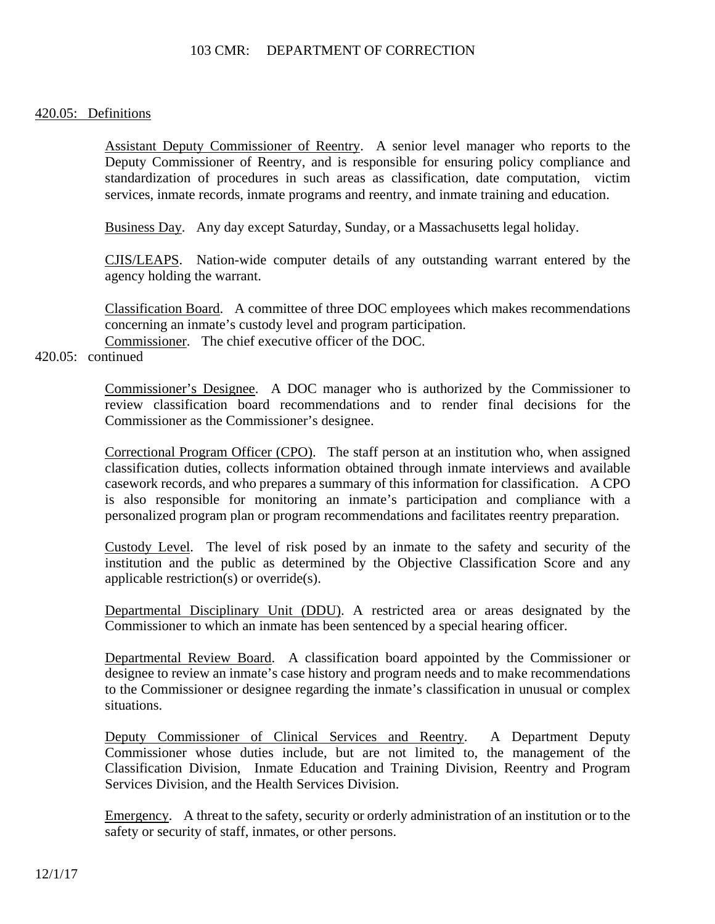### 420.05: Definitions

Assistant Deputy Commissioner of Reentry. A senior level manager who reports to the Deputy Commissioner of Reentry, and is responsible for ensuring policy compliance and standardization of procedures in such areas as classification, date computation, victim services, inmate records, inmate programs and reentry, and inmate training and education.

Business Day. Any day except Saturday, Sunday, or a Massachusetts legal holiday.

CJIS/LEAPS. Nation-wide computer details of any outstanding warrant entered by the agency holding the warrant.

Classification Board. A committee of three DOC employees which makes recommendations concerning an inmate's custody level and program participation. Commissioner. The chief executive officer of the DOC.

# 420.05: continued

Commissioner's Designee. A DOC manager who is authorized by the Commissioner to review classification board recommendations and to render final decisions for the Commissioner as the Commissioner's designee.

Correctional Program Officer (CPO). The staff person at an institution who, when assigned classification duties, collects information obtained through inmate interviews and available casework records, and who prepares a summary of this information for classification. A CPO is also responsible for monitoring an inmate's participation and compliance with a personalized program plan or program recommendations and facilitates reentry preparation.

Custody Level. The level of risk posed by an inmate to the safety and security of the institution and the public as determined by the Objective Classification Score and any applicable restriction(s) or override(s).

Departmental Disciplinary Unit (DDU). A restricted area or areas designated by the Commissioner to which an inmate has been sentenced by a special hearing officer.

Departmental Review Board. A classification board appointed by the Commissioner or designee to review an inmate's case history and program needs and to make recommendations to the Commissioner or designee regarding the inmate's classification in unusual or complex situations.

Deputy Commissioner of Clinical Services and Reentry. A Department Deputy Commissioner whose duties include, but are not limited to, the management of the Classification Division, Inmate Education and Training Division, Reentry and Program Services Division, and the Health Services Division.

Emergency. A threat to the safety, security or orderly administration of an institution or to the safety or security of staff, inmates, or other persons.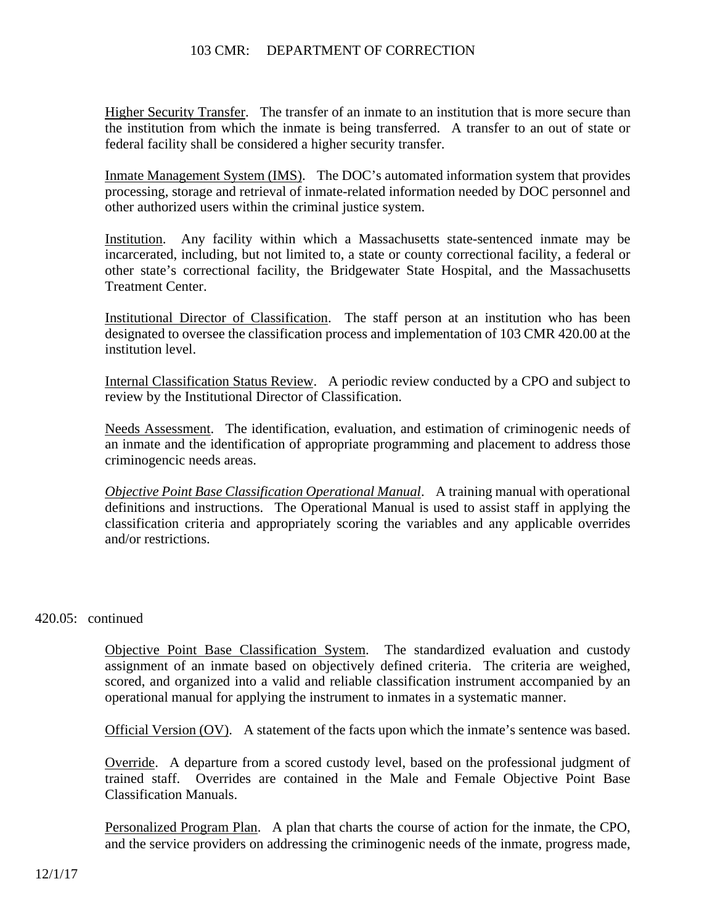Higher Security Transfer. The transfer of an inmate to an institution that is more secure than the institution from which the inmate is being transferred. A transfer to an out of state or federal facility shall be considered a higher security transfer.

Inmate Management System (IMS). The DOC's automated information system that provides processing, storage and retrieval of inmate-related information needed by DOC personnel and other authorized users within the criminal justice system.

Institution. Any facility within which a Massachusetts state-sentenced inmate may be incarcerated, including, but not limited to, a state or county correctional facility, a federal or other state's correctional facility, the Bridgewater State Hospital, and the Massachusetts Treatment Center.

Institutional Director of Classification. The staff person at an institution who has been designated to oversee the classification process and implementation of 103 CMR 420.00 at the institution level.

Internal Classification Status Review. A periodic review conducted by a CPO and subject to review by the Institutional Director of Classification.

Needs Assessment. The identification, evaluation, and estimation of criminogenic needs of an inmate and the identification of appropriate programming and placement to address those criminogencic needs areas.

*Objective Point Base Classification Operational Manual*. A training manual with operational definitions and instructions. The Operational Manual is used to assist staff in applying the classification criteria and appropriately scoring the variables and any applicable overrides and/or restrictions.

### 420.05: continued

Objective Point Base Classification System. The standardized evaluation and custody assignment of an inmate based on objectively defined criteria. The criteria are weighed, scored, and organized into a valid and reliable classification instrument accompanied by an operational manual for applying the instrument to inmates in a systematic manner.

Official Version (OV). A statement of the facts upon which the inmate's sentence was based.

Override. A departure from a scored custody level, based on the professional judgment of trained staff. Overrides are contained in the Male and Female Objective Point Base Classification Manuals.

Personalized Program Plan. A plan that charts the course of action for the inmate, the CPO, and the service providers on addressing the criminogenic needs of the inmate, progress made,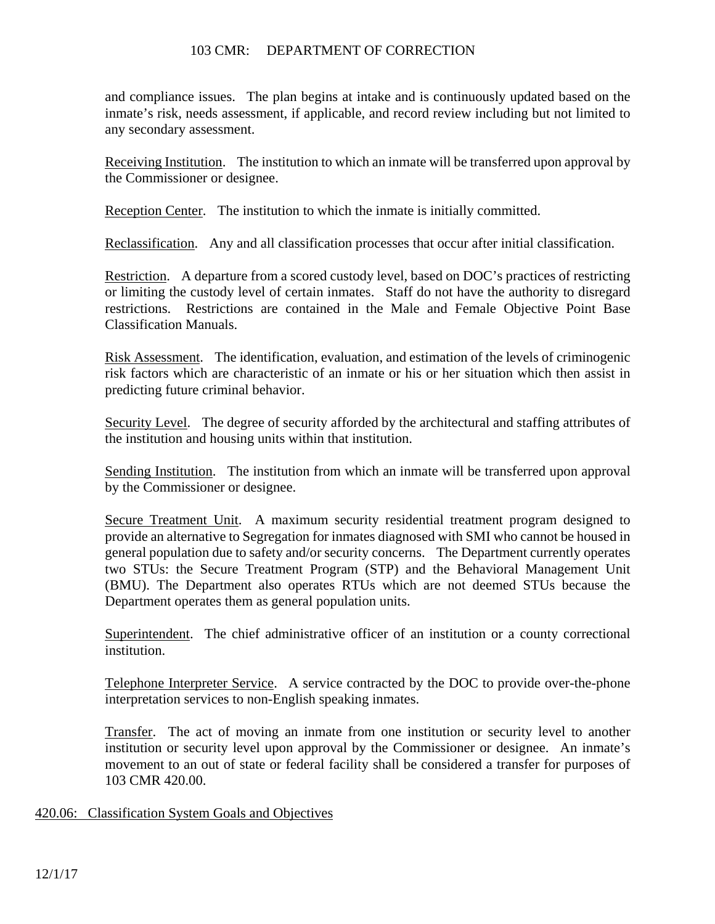and compliance issues. The plan begins at intake and is continuously updated based on the inmate's risk, needs assessment, if applicable, and record review including but not limited to any secondary assessment.

Receiving Institution. The institution to which an inmate will be transferred upon approval by the Commissioner or designee.

Reception Center. The institution to which the inmate is initially committed.

Reclassification. Any and all classification processes that occur after initial classification.

Restriction. A departure from a scored custody level, based on DOC's practices of restricting or limiting the custody level of certain inmates. Staff do not have the authority to disregard restrictions. Restrictions are contained in the Male and Female Objective Point Base Classification Manuals.

Risk Assessment. The identification, evaluation, and estimation of the levels of criminogenic risk factors which are characteristic of an inmate or his or her situation which then assist in predicting future criminal behavior.

Security Level. The degree of security afforded by the architectural and staffing attributes of the institution and housing units within that institution.

Sending Institution. The institution from which an inmate will be transferred upon approval by the Commissioner or designee.

Secure Treatment Unit. A maximum security residential treatment program designed to provide an alternative to Segregation for inmates diagnosed with SMI who cannot be housed in general population due to safety and/or security concerns. The Department currently operates two STUs: the Secure Treatment Program (STP) and the Behavioral Management Unit (BMU). The Department also operates RTUs which are not deemed STUs because the Department operates them as general population units.

Superintendent. The chief administrative officer of an institution or a county correctional institution.

Telephone Interpreter Service. A service contracted by the DOC to provide over-the-phone interpretation services to non-English speaking inmates.

Transfer. The act of moving an inmate from one institution or security level to another institution or security level upon approval by the Commissioner or designee. An inmate's movement to an out of state or federal facility shall be considered a transfer for purposes of 103 CMR 420.00.

### 420.06: Classification System Goals and Objectives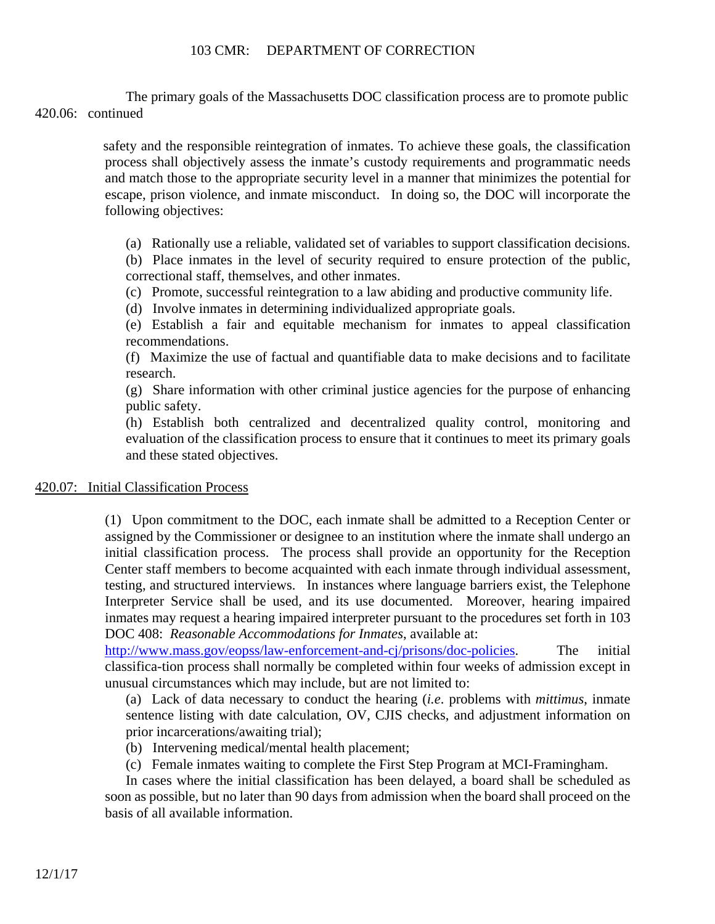The primary goals of the Massachusetts DOC classification process are to promote public 420.06: continued

> safety and the responsible reintegration of inmates. To achieve these goals, the classification process shall objectively assess the inmate's custody requirements and programmatic needs and match those to the appropriate security level in a manner that minimizes the potential for escape, prison violence, and inmate misconduct. In doing so, the DOC will incorporate the following objectives:

(a) Rationally use a reliable, validated set of variables to support classification decisions.

(b) Place inmates in the level of security required to ensure protection of the public, correctional staff, themselves, and other inmates.

(c) Promote, successful reintegration to a law abiding and productive community life.

(d) Involve inmates in determining individualized appropriate goals.

(e) Establish a fair and equitable mechanism for inmates to appeal classification recommendations.

(f) Maximize the use of factual and quantifiable data to make decisions and to facilitate research.

(g) Share information with other criminal justice agencies for the purpose of enhancing public safety.

(h) Establish both centralized and decentralized quality control, monitoring and evaluation of the classification process to ensure that it continues to meet its primary goals and these stated objectives.

# 420.07: Initial Classification Process

(1) Upon commitment to the DOC, each inmate shall be admitted to a Reception Center or assigned by the Commissioner or designee to an institution where the inmate shall undergo an initial classification process. The process shall provide an opportunity for the Reception Center staff members to become acquainted with each inmate through individual assessment, testing, and structured interviews. In instances where language barriers exist, the Telephone Interpreter Service shall be used, and its use documented. Moreover, hearing impaired inmates may request a hearing impaired interpreter pursuant to the procedures set forth in 103 DOC 408: *Reasonable Accommodations for Inmates*, available at:

http://www.mass.gov/eopss/law-enforcement-and-cj/prisons/doc-policies. The initial classifica-tion process shall normally be completed within four weeks of admission except in unusual circumstances which may include, but are not limited to:

(a) Lack of data necessary to conduct the hearing (*i.e*. problems with *mittimus*, inmate sentence listing with date calculation, OV, CJIS checks, and adjustment information on prior incarcerations/awaiting trial);

- (b) Intervening medical/mental health placement;
- (c) Female inmates waiting to complete the First Step Program at MCI-Framingham.

In cases where the initial classification has been delayed, a board shall be scheduled as soon as possible, but no later than 90 days from admission when the board shall proceed on the basis of all available information.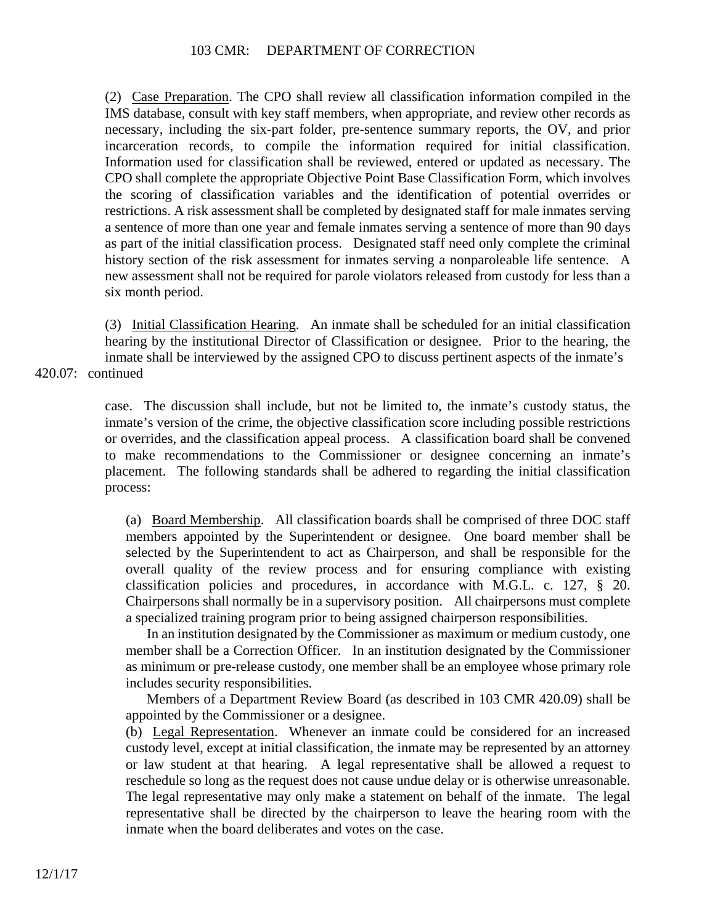(2) Case Preparation. The CPO shall review all classification information compiled in the IMS database, consult with key staff members, when appropriate, and review other records as necessary, including the six-part folder, pre-sentence summary reports, the OV, and prior incarceration records, to compile the information required for initial classification. Information used for classification shall be reviewed, entered or updated as necessary. The CPO shall complete the appropriate Objective Point Base Classification Form, which involves the scoring of classification variables and the identification of potential overrides or restrictions. A risk assessment shall be completed by designated staff for male inmates serving a sentence of more than one year and female inmates serving a sentence of more than 90 days as part of the initial classification process. Designated staff need only complete the criminal history section of the risk assessment for inmates serving a nonparoleable life sentence. A new assessment shall not be required for parole violators released from custody for less than a six month period.

(3) Initial Classification Hearing. An inmate shall be scheduled for an initial classification hearing by the institutional Director of Classification or designee. Prior to the hearing, the inmate shall be interviewed by the assigned CPO to discuss pertinent aspects of the inmate's 420.07: continued

> case. The discussion shall include, but not be limited to, the inmate's custody status, the inmate's version of the crime, the objective classification score including possible restrictions or overrides, and the classification appeal process. A classification board shall be convened to make recommendations to the Commissioner or designee concerning an inmate's placement. The following standards shall be adhered to regarding the initial classification process:

(a) Board Membership. All classification boards shall be comprised of three DOC staff members appointed by the Superintendent or designee. One board member shall be selected by the Superintendent to act as Chairperson, and shall be responsible for the overall quality of the review process and for ensuring compliance with existing classification policies and procedures, in accordance with M.G.L. c. 127, § 20. Chairpersons shall normally be in a supervisory position. All chairpersons must complete a specialized training program prior to being assigned chairperson responsibilities.

In an institution designated by the Commissioner as maximum or medium custody, one member shall be a Correction Officer. In an institution designated by the Commissioner as minimum or pre-release custody, one member shall be an employee whose primary role includes security responsibilities.

Members of a Department Review Board (as described in 103 CMR 420.09) shall be appointed by the Commissioner or a designee.

(b) Legal Representation. Whenever an inmate could be considered for an increased custody level, except at initial classification, the inmate may be represented by an attorney or law student at that hearing. A legal representative shall be allowed a request to reschedule so long as the request does not cause undue delay or is otherwise unreasonable. The legal representative may only make a statement on behalf of the inmate. The legal representative shall be directed by the chairperson to leave the hearing room with the inmate when the board deliberates and votes on the case.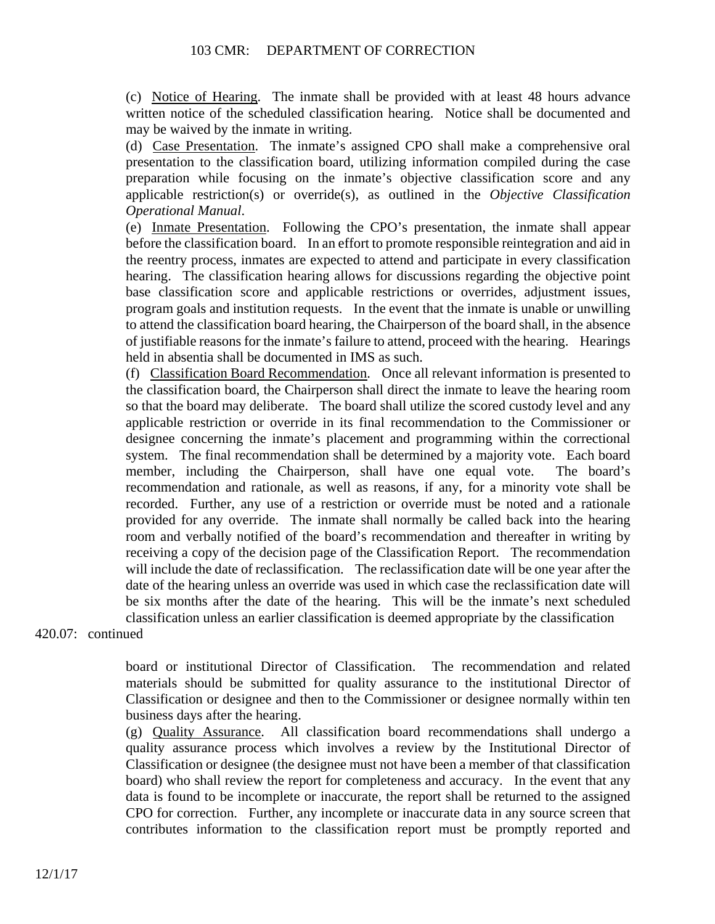(c) Notice of Hearing. The inmate shall be provided with at least 48 hours advance written notice of the scheduled classification hearing. Notice shall be documented and may be waived by the inmate in writing.

(d) Case Presentation. The inmate's assigned CPO shall make a comprehensive oral presentation to the classification board, utilizing information compiled during the case preparation while focusing on the inmate's objective classification score and any applicable restriction(s) or override(s), as outlined in the *Objective Classification Operational Manual*.

(e) Inmate Presentation. Following the CPO's presentation, the inmate shall appear before the classification board. In an effort to promote responsible reintegration and aid in the reentry process, inmates are expected to attend and participate in every classification hearing. The classification hearing allows for discussions regarding the objective point base classification score and applicable restrictions or overrides, adjustment issues, program goals and institution requests. In the event that the inmate is unable or unwilling to attend the classification board hearing, the Chairperson of the board shall, in the absence of justifiable reasons for the inmate's failure to attend, proceed with the hearing. Hearings held in absentia shall be documented in IMS as such.

(f) Classification Board Recommendation. Once all relevant information is presented to the classification board, the Chairperson shall direct the inmate to leave the hearing room so that the board may deliberate. The board shall utilize the scored custody level and any applicable restriction or override in its final recommendation to the Commissioner or designee concerning the inmate's placement and programming within the correctional system. The final recommendation shall be determined by a majority vote. Each board member, including the Chairperson, shall have one equal vote. The board's recommendation and rationale, as well as reasons, if any, for a minority vote shall be recorded. Further, any use of a restriction or override must be noted and a rationale provided for any override. The inmate shall normally be called back into the hearing room and verbally notified of the board's recommendation and thereafter in writing by receiving a copy of the decision page of the Classification Report. The recommendation will include the date of reclassification. The reclassification date will be one year after the date of the hearing unless an override was used in which case the reclassification date will be six months after the date of the hearing. This will be the inmate's next scheduled classification unless an earlier classification is deemed appropriate by the classification

420.07: continued

board or institutional Director of Classification. The recommendation and related materials should be submitted for quality assurance to the institutional Director of Classification or designee and then to the Commissioner or designee normally within ten business days after the hearing.

(g) Quality Assurance. All classification board recommendations shall undergo a quality assurance process which involves a review by the Institutional Director of Classification or designee (the designee must not have been a member of that classification board) who shall review the report for completeness and accuracy. In the event that any data is found to be incomplete or inaccurate, the report shall be returned to the assigned CPO for correction. Further, any incomplete or inaccurate data in any source screen that contributes information to the classification report must be promptly reported and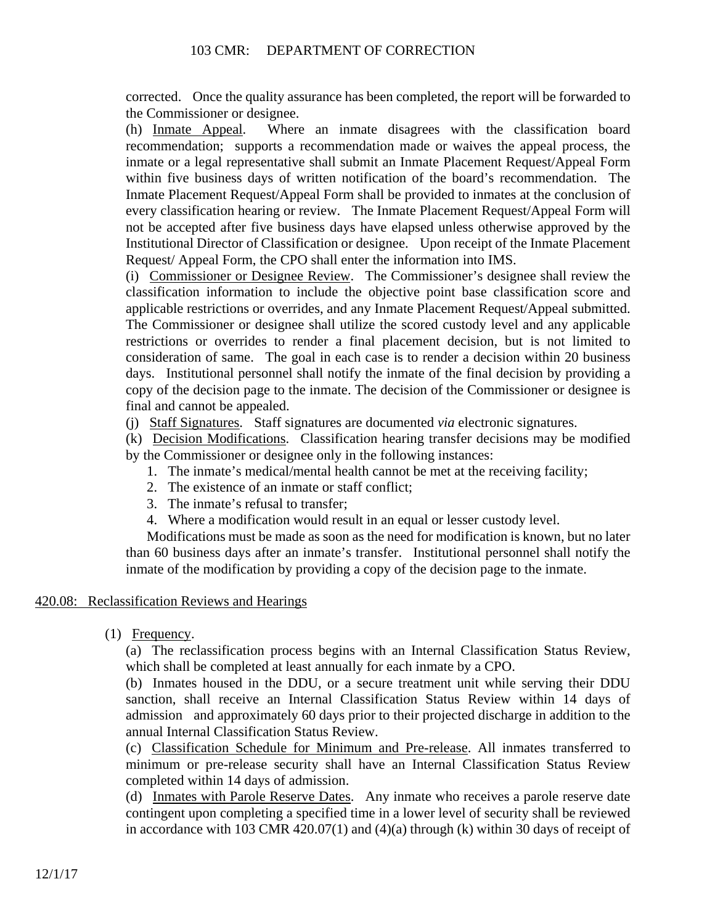corrected. Once the quality assurance has been completed, the report will be forwarded to the Commissioner or designee.

(h) Inmate Appeal. Where an inmate disagrees with the classification board recommendation; supports a recommendation made or waives the appeal process, the inmate or a legal representative shall submit an Inmate Placement Request/Appeal Form within five business days of written notification of the board's recommendation. The Inmate Placement Request/Appeal Form shall be provided to inmates at the conclusion of every classification hearing or review. The Inmate Placement Request/Appeal Form will not be accepted after five business days have elapsed unless otherwise approved by the Institutional Director of Classification or designee. Upon receipt of the Inmate Placement Request/ Appeal Form, the CPO shall enter the information into IMS.

(i) Commissioner or Designee Review. The Commissioner's designee shall review the classification information to include the objective point base classification score and applicable restrictions or overrides, and any Inmate Placement Request/Appeal submitted. The Commissioner or designee shall utilize the scored custody level and any applicable restrictions or overrides to render a final placement decision, but is not limited to consideration of same. The goal in each case is to render a decision within 20 business days. Institutional personnel shall notify the inmate of the final decision by providing a copy of the decision page to the inmate. The decision of the Commissioner or designee is final and cannot be appealed.

(j) Staff Signatures. Staff signatures are documented *via* electronic signatures.

(k) Decision Modifications. Classification hearing transfer decisions may be modified by the Commissioner or designee only in the following instances:

- 1. The inmate's medical/mental health cannot be met at the receiving facility;
- 2. The existence of an inmate or staff conflict;
- 3. The inmate's refusal to transfer;
- 4. Where a modification would result in an equal or lesser custody level.

Modifications must be made as soon as the need for modification is known, but no later than 60 business days after an inmate's transfer. Institutional personnel shall notify the inmate of the modification by providing a copy of the decision page to the inmate.

### 420.08: Reclassification Reviews and Hearings

(1) Frequency.

(a) The reclassification process begins with an Internal Classification Status Review, which shall be completed at least annually for each inmate by a CPO.

(b) Inmates housed in the DDU, or a secure treatment unit while serving their DDU sanction, shall receive an Internal Classification Status Review within 14 days of admission and approximately 60 days prior to their projected discharge in addition to the annual Internal Classification Status Review.

(c) Classification Schedule for Minimum and Pre-release. All inmates transferred to minimum or pre-release security shall have an Internal Classification Status Review completed within 14 days of admission.

(d) Inmates with Parole Reserve Dates. Any inmate who receives a parole reserve date contingent upon completing a specified time in a lower level of security shall be reviewed in accordance with 103 CMR 420.07(1) and (4)(a) through (k) within 30 days of receipt of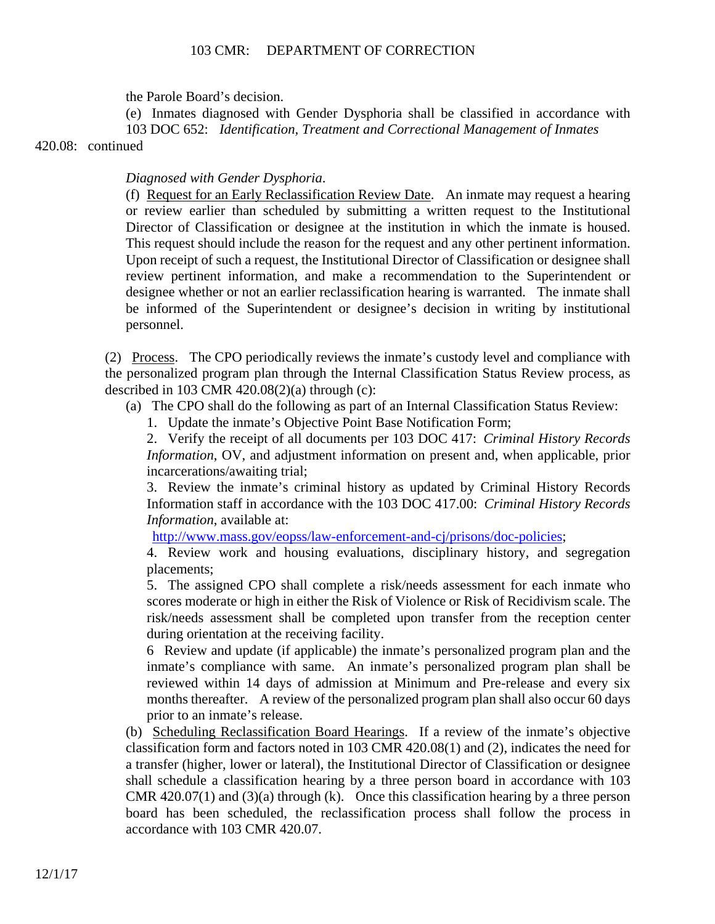the Parole Board's decision.

(e) Inmates diagnosed with Gender Dysphoria shall be classified in accordance with 103 DOC 652: *Identification, Treatment and Correctional Management of Inmates*  420.08: continued

*Diagnosed with Gender Dysphoria*.

(f) Request for an Early Reclassification Review Date. An inmate may request a hearing or review earlier than scheduled by submitting a written request to the Institutional Director of Classification or designee at the institution in which the inmate is housed. This request should include the reason for the request and any other pertinent information. Upon receipt of such a request, the Institutional Director of Classification or designee shall review pertinent information, and make a recommendation to the Superintendent or designee whether or not an earlier reclassification hearing is warranted. The inmate shall be informed of the Superintendent or designee's decision in writing by institutional personnel.

(2) Process. The CPO periodically reviews the inmate's custody level and compliance with the personalized program plan through the Internal Classification Status Review process, as described in  $103$  CMR  $420.08(2)(a)$  through (c):

(a) The CPO shall do the following as part of an Internal Classification Status Review:

1. Update the inmate's Objective Point Base Notification Form;

2. Verify the receipt of all documents per 103 DOC 417: *Criminal History Records Information*, OV, and adjustment information on present and, when applicable, prior incarcerations/awaiting trial;

3. Review the inmate's criminal history as updated by Criminal History Records Information staff in accordance with the 103 DOC 417.00: *Criminal History Records Information*, available at:

http://www.mass.gov/eopss/law-enforcement-and-cj/prisons/doc-policies;

4. Review work and housing evaluations, disciplinary history, and segregation placements;

5. The assigned CPO shall complete a risk/needs assessment for each inmate who scores moderate or high in either the Risk of Violence or Risk of Recidivism scale. The risk/needs assessment shall be completed upon transfer from the reception center during orientation at the receiving facility.

6 Review and update (if applicable) the inmate's personalized program plan and the inmate's compliance with same. An inmate's personalized program plan shall be reviewed within 14 days of admission at Minimum and Pre-release and every six months thereafter. A review of the personalized program plan shall also occur 60 days prior to an inmate's release.

(b) Scheduling Reclassification Board Hearings. If a review of the inmate's objective classification form and factors noted in 103 CMR 420.08(1) and (2), indicates the need for a transfer (higher, lower or lateral), the Institutional Director of Classification or designee shall schedule a classification hearing by a three person board in accordance with 103 CMR  $420.07(1)$  and  $(3)(a)$  through (k). Once this classification hearing by a three person board has been scheduled, the reclassification process shall follow the process in accordance with 103 CMR 420.07.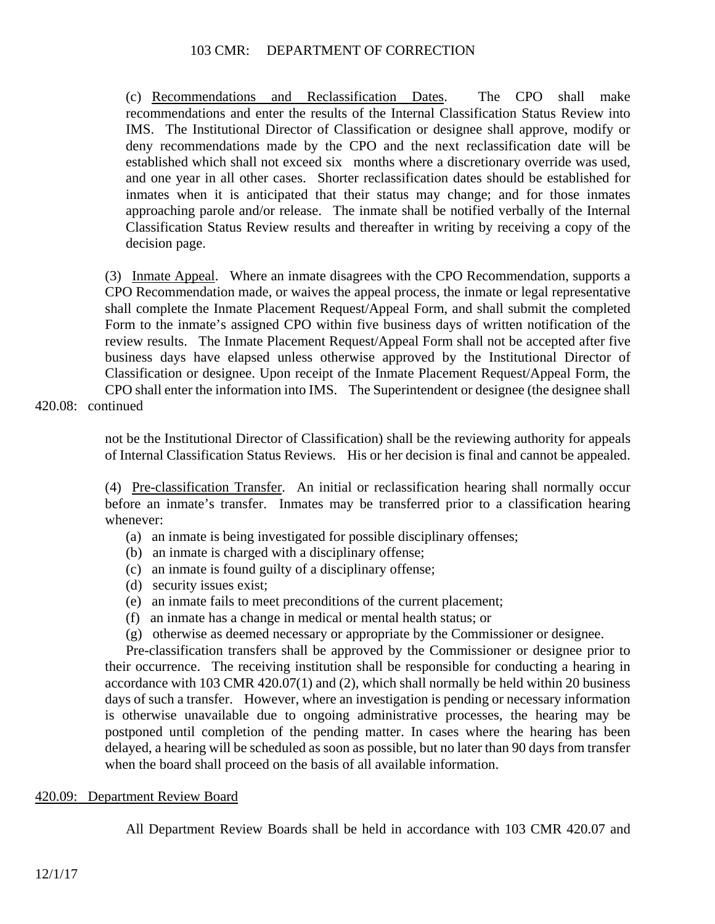(c) Recommendations and Reclassification Dates. The CPO shall make recommendations and enter the results of the Internal Classification Status Review into IMS. The Institutional Director of Classification or designee shall approve, modify or deny recommendations made by the CPO and the next reclassification date will be established which shall not exceed six months where a discretionary override was used, and one year in all other cases. Shorter reclassification dates should be established for inmates when it is anticipated that their status may change; and for those inmates approaching parole and/or release. The inmate shall be notified verbally of the Internal Classification Status Review results and thereafter in writing by receiving a copy of the decision page.

(3) Inmate Appeal. Where an inmate disagrees with the CPO Recommendation, supports a CPO Recommendation made, or waives the appeal process, the inmate or legal representative shall complete the Inmate Placement Request/Appeal Form, and shall submit the completed Form to the inmate's assigned CPO within five business days of written notification of the review results. The Inmate Placement Request/Appeal Form shall not be accepted after five business days have elapsed unless otherwise approved by the Institutional Director of Classification or designee. Upon receipt of the Inmate Placement Request/Appeal Form, the CPO shall enter the information into IMS. The Superintendent or designee (the designee shall

420.08: continued

not be the Institutional Director of Classification) shall be the reviewing authority for appeals of Internal Classification Status Reviews. His or her decision is final and cannot be appealed.

(4) Pre-classification Transfer. An initial or reclassification hearing shall normally occur before an inmate's transfer. Inmates may be transferred prior to a classification hearing whenever:

- (a) an inmate is being investigated for possible disciplinary offenses;
- (b) an inmate is charged with a disciplinary offense;
- (c) an inmate is found guilty of a disciplinary offense;
- (d) security issues exist;
- (e) an inmate fails to meet preconditions of the current placement;
- (f) an inmate has a change in medical or mental health status; or
- (g) otherwise as deemed necessary or appropriate by the Commissioner or designee.

Pre-classification transfers shall be approved by the Commissioner or designee prior to their occurrence. The receiving institution shall be responsible for conducting a hearing in accordance with 103 CMR 420.07(1) and (2), which shall normally be held within 20 business days of such a transfer. However, where an investigation is pending or necessary information is otherwise unavailable due to ongoing administrative processes, the hearing may be postponed until completion of the pending matter. In cases where the hearing has been delayed, a hearing will be scheduled as soon as possible, but no later than 90 days from transfer when the board shall proceed on the basis of all available information.

### 420.09: Department Review Board

All Department Review Boards shall be held in accordance with 103 CMR 420.07 and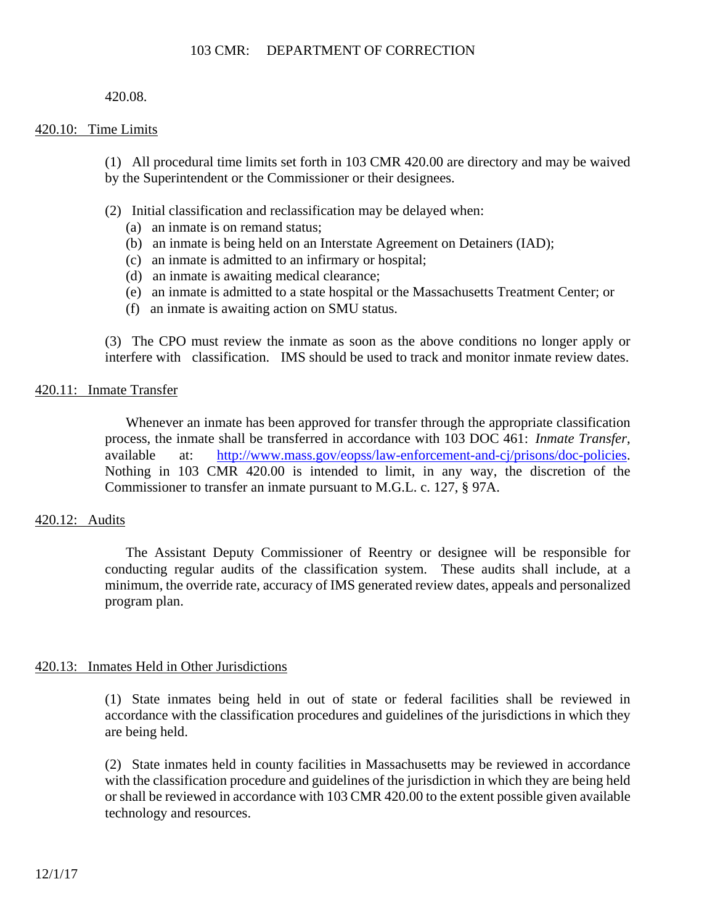### 420.08.

### 420.10: Time Limits

(1) All procedural time limits set forth in 103 CMR 420.00 are directory and may be waived by the Superintendent or the Commissioner or their designees.

- (2) Initial classification and reclassification may be delayed when:
	- (a) an inmate is on remand status;
	- (b) an inmate is being held on an Interstate Agreement on Detainers (IAD);
	- (c) an inmate is admitted to an infirmary or hospital;
	- (d) an inmate is awaiting medical clearance;
	- (e) an inmate is admitted to a state hospital or the Massachusetts Treatment Center; or
	- (f) an inmate is awaiting action on SMU status.

(3) The CPO must review the inmate as soon as the above conditions no longer apply or interfere with classification. IMS should be used to track and monitor inmate review dates.

### 420.11: Inmate Transfer

Whenever an inmate has been approved for transfer through the appropriate classification process, the inmate shall be transferred in accordance with 103 DOC 461: *Inmate Transfer*, available at: http://www.mass.gov/eopss/law-enforcement-and-cj/prisons/doc-policies. Nothing in 103 CMR 420.00 is intended to limit, in any way, the discretion of the Commissioner to transfer an inmate pursuant to M.G.L. c. 127, § 97A.

### 420.12: Audits

The Assistant Deputy Commissioner of Reentry or designee will be responsible for conducting regular audits of the classification system. These audits shall include, at a minimum, the override rate, accuracy of IMS generated review dates, appeals and personalized program plan.

### 420.13: Inmates Held in Other Jurisdictions

(1) State inmates being held in out of state or federal facilities shall be reviewed in accordance with the classification procedures and guidelines of the jurisdictions in which they are being held.

(2) State inmates held in county facilities in Massachusetts may be reviewed in accordance with the classification procedure and guidelines of the jurisdiction in which they are being held or shall be reviewed in accordance with 103 CMR 420.00 to the extent possible given available technology and resources.